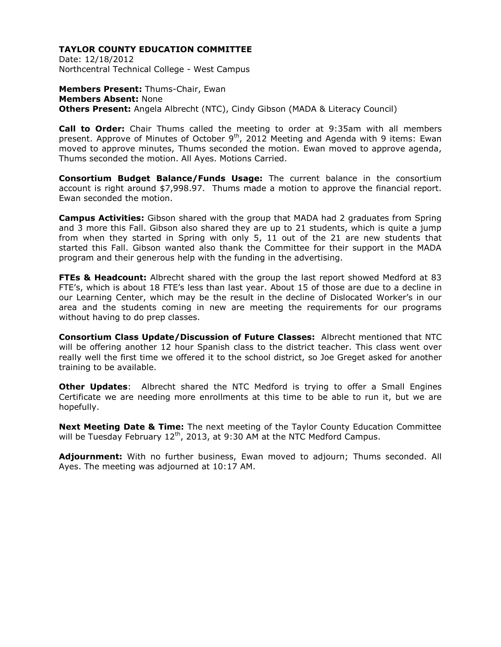Date: 12/18/2012 Northcentral Technical College - West Campus

**Members Present:** Thums-Chair, Ewan **Members Absent:** None **Others Present:** Angela Albrecht (NTC), Cindy Gibson (MADA & Literacy Council)

**Call to Order:** Chair Thums called the meeting to order at 9:35am with all members present. Approve of Minutes of October  $9<sup>th</sup>$ , 2012 Meeting and Agenda with 9 items: Ewan moved to approve minutes, Thums seconded the motion. Ewan moved to approve agenda, Thums seconded the motion. All Ayes. Motions Carried.

**Consortium Budget Balance/Funds Usage:** The current balance in the consortium account is right around \$7,998.97. Thums made a motion to approve the financial report. Ewan seconded the motion.

**Campus Activities:** Gibson shared with the group that MADA had 2 graduates from Spring and 3 more this Fall. Gibson also shared they are up to 21 students, which is quite a jump from when they started in Spring with only 5, 11 out of the 21 are new students that started this Fall. Gibson wanted also thank the Committee for their support in the MADA program and their generous help with the funding in the advertising.

**FTEs & Headcount:** Albrecht shared with the group the last report showed Medford at 83 FTE's, which is about 18 FTE's less than last year. About 15 of those are due to a decline in our Learning Center, which may be the result in the decline of Dislocated Worker's in our area and the students coming in new are meeting the requirements for our programs without having to do prep classes.

**Consortium Class Update/Discussion of Future Classes:** Albrecht mentioned that NTC will be offering another 12 hour Spanish class to the district teacher. This class went over really well the first time we offered it to the school district, so Joe Greget asked for another training to be available.

**Other Updates**: Albrecht shared the NTC Medford is trying to offer a Small Engines Certificate we are needing more enrollments at this time to be able to run it, but we are hopefully.

**Next Meeting Date & Time:** The next meeting of the Taylor County Education Committee will be Tuesday February  $12<sup>th</sup>$ , 2013, at 9:30 AM at the NTC Medford Campus.

**Adjournment:** With no further business, Ewan moved to adjourn; Thums seconded. All Ayes. The meeting was adjourned at 10:17 AM.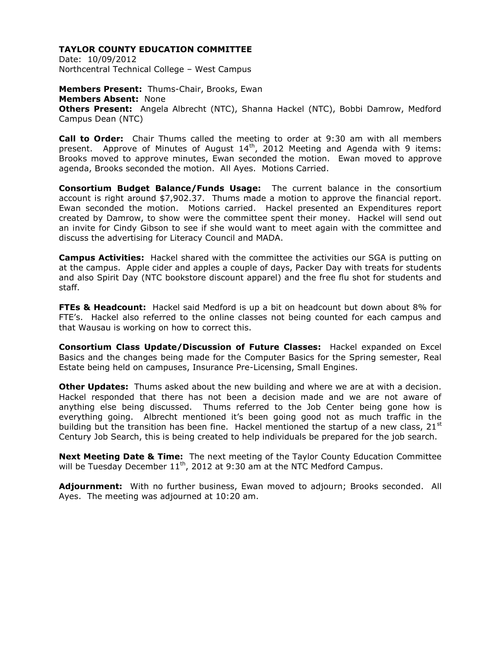Date: 10/09/2012 Northcentral Technical College – West Campus

**Members Present:** Thums-Chair, Brooks, Ewan **Members Absent:** None **Others Present:** Angela Albrecht (NTC), Shanna Hackel (NTC), Bobbi Damrow, Medford Campus Dean (NTC)

**Call to Order:** Chair Thums called the meeting to order at 9:30 am with all members present. Approve of Minutes of August  $14<sup>th</sup>$ , 2012 Meeting and Agenda with 9 items: Brooks moved to approve minutes, Ewan seconded the motion. Ewan moved to approve agenda, Brooks seconded the motion. All Ayes. Motions Carried.

**Consortium Budget Balance/Funds Usage:** The current balance in the consortium account is right around \$7,902.37. Thums made a motion to approve the financial report. Ewan seconded the motion. Motions carried. Hackel presented an Expenditures report created by Damrow, to show were the committee spent their money. Hackel will send out an invite for Cindy Gibson to see if she would want to meet again with the committee and discuss the advertising for Literacy Council and MADA.

**Campus Activities:** Hackel shared with the committee the activities our SGA is putting on at the campus. Apple cider and apples a couple of days, Packer Day with treats for students and also Spirit Day (NTC bookstore discount apparel) and the free flu shot for students and staff.

**FTEs & Headcount:** Hackel said Medford is up a bit on headcount but down about 8% for FTE's. Hackel also referred to the online classes not being counted for each campus and that Wausau is working on how to correct this.

**Consortium Class Update/Discussion of Future Classes:** Hackel expanded on Excel Basics and the changes being made for the Computer Basics for the Spring semester, Real Estate being held on campuses, Insurance Pre-Licensing, Small Engines.

**Other Updates:** Thums asked about the new building and where we are at with a decision. Hackel responded that there has not been a decision made and we are not aware of anything else being discussed. Thums referred to the Job Center being gone how is everything going. Albrecht mentioned it's been going good not as much traffic in the building but the transition has been fine. Hackel mentioned the startup of a new class,  $21^{st}$ Century Job Search, this is being created to help individuals be prepared for the job search.

**Next Meeting Date & Time:** The next meeting of the Taylor County Education Committee will be Tuesday December 11<sup>th</sup>, 2012 at 9:30 am at the NTC Medford Campus.

**Adjournment:** With no further business, Ewan moved to adjourn; Brooks seconded. All Ayes. The meeting was adjourned at 10:20 am.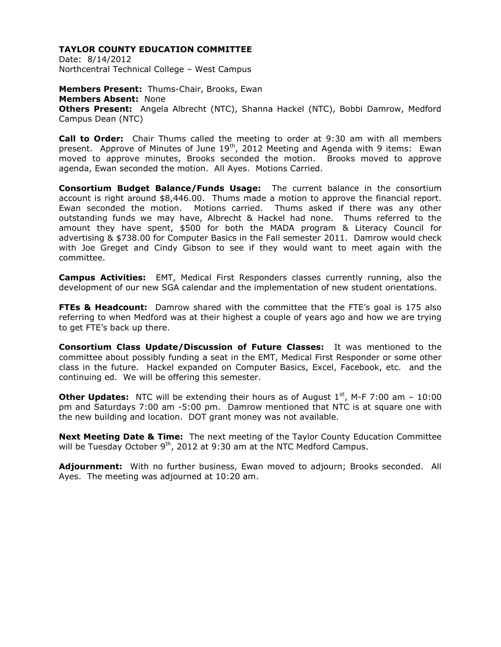Date: 8/14/2012 Northcentral Technical College – West Campus

**Members Present:** Thums-Chair, Brooks, Ewan **Members Absent:** None **Others Present:** Angela Albrecht (NTC), Shanna Hackel (NTC), Bobbi Damrow, Medford Campus Dean (NTC)

**Call to Order:** Chair Thums called the meeting to order at 9:30 am with all members present. Approve of Minutes of June 19<sup>th</sup>, 2012 Meeting and Agenda with 9 items: Ewan moved to approve minutes, Brooks seconded the motion. Brooks moved to approve agenda, Ewan seconded the motion. All Ayes. Motions Carried.

**Consortium Budget Balance/Funds Usage:** The current balance in the consortium account is right around \$8,446.00. Thums made a motion to approve the financial report. Ewan seconded the motion. Motions carried. Thums asked if there was any other outstanding funds we may have, Albrecht & Hackel had none. Thums referred to the amount they have spent, \$500 for both the MADA program & Literacy Council for advertising & \$738.00 for Computer Basics in the Fall semester 2011. Damrow would check with Joe Greget and Cindy Gibson to see if they would want to meet again with the committee.

**Campus Activities:** EMT, Medical First Responders classes currently running, also the development of our new SGA calendar and the implementation of new student orientations.

**FTEs & Headcount:** Damrow shared with the committee that the FTE's goal is 175 also referring to when Medford was at their highest a couple of years ago and how we are trying to get FTE's back up there.

**Consortium Class Update/Discussion of Future Classes:** It was mentioned to the committee about possibly funding a seat in the EMT, Medical First Responder or some other class in the future. Hackel expanded on Computer Basics, Excel, Facebook, etc. and the continuing ed. We will be offering this semester.

**Other Updates:** NTC will be extending their hours as of August  $1<sup>st</sup>$ , M-F 7:00 am – 10:00 pm and Saturdays 7:00 am -5:00 pm. Damrow mentioned that NTC is at square one with the new building and location. DOT grant money was not available.

**Next Meeting Date & Time:** The next meeting of the Taylor County Education Committee will be Tuesday October  $9<sup>th</sup>$ , 2012 at 9:30 am at the NTC Medford Campus.

**Adjournment:** With no further business, Ewan moved to adjourn; Brooks seconded. All Ayes. The meeting was adjourned at 10:20 am.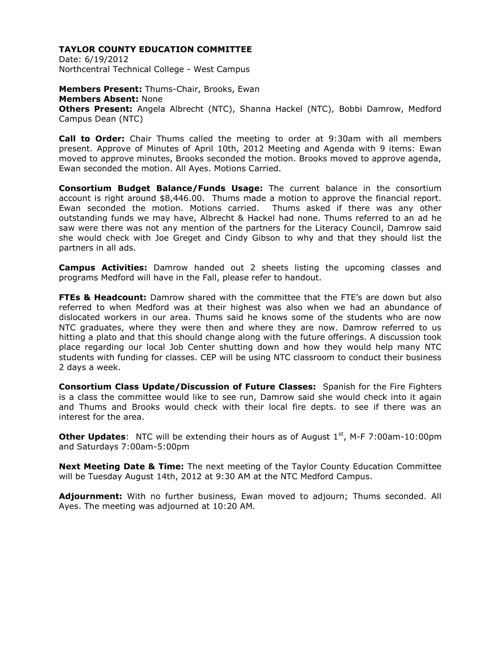Date: 6/19/2012 Northcentral Technical College - West Campus

**Members Present:** Thums-Chair, Brooks, Ewan **Members Absent:** None **Others Present:** Angela Albrecht (NTC), Shanna Hackel (NTC), Bobbi Damrow, Medford Campus Dean (NTC)

**Call to Order:** Chair Thums called the meeting to order at 9:30am with all members present. Approve of Minutes of April 10th, 2012 Meeting and Agenda with 9 items: Ewan moved to approve minutes, Brooks seconded the motion. Brooks moved to approve agenda, Ewan seconded the motion. All Ayes. Motions Carried.

**Consortium Budget Balance/Funds Usage:** The current balance in the consortium account is right around \$8,446.00. Thums made a motion to approve the financial report. Ewan seconded the motion. Motions carried. Thums asked if there was any other outstanding funds we may have, Albrecht & Hackel had none. Thums referred to an ad he saw were there was not any mention of the partners for the Literacy Council, Damrow said she would check with Joe Greget and Cindy Gibson to why and that they should list the partners in all ads.

**Campus Activities:** Damrow handed out 2 sheets listing the upcoming classes and programs Medford will have in the Fall, please refer to handout.

**FTEs & Headcount:** Damrow shared with the committee that the FTE's are down but also referred to when Medford was at their highest was also when we had an abundance of dislocated workers in our area. Thums said he knows some of the students who are now NTC graduates, where they were then and where they are now. Damrow referred to us hitting a plato and that this should change along with the future offerings. A discussion took place regarding our local Job Center shutting down and how they would help many NTC students with funding for classes. CEP will be using NTC classroom to conduct their business 2 days a week.

**Consortium Class Update/Discussion of Future Classes:** Spanish for the Fire Fighters is a class the committee would like to see run, Damrow said she would check into it again and Thums and Brooks would check with their local fire depts. to see if there was an interest for the area.

**Other Updates:** NTC will be extending their hours as of August 1<sup>st</sup>, M-F 7:00am-10:00pm and Saturdays 7:00am-5:00pm

**Next Meeting Date & Time:** The next meeting of the Taylor County Education Committee will be Tuesday August 14th, 2012 at 9:30 AM at the NTC Medford Campus.

**Adjournment:** With no further business, Ewan moved to adjourn; Thums seconded. All Ayes. The meeting was adjourned at 10:20 AM.